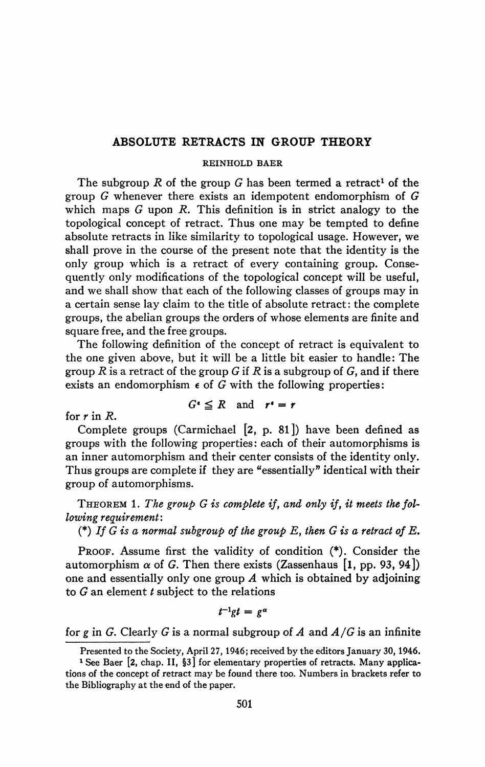# **ABSOLUTE RETRACTS IN GROUP THEORY**

#### **REINHOLD BAER**

The subgroup  $R$  of the group  $G$  has been termed a retract<sup>1</sup> of the group *G* whenever there exists an idempotent endomorphism of *G*  which maps *G* upon *R.* This definition is in strict analogy to the topological concept of retract. Thus one may be tempted to define absolute retracts in like similarity to topological usage. However, we shall prove in the course of the present note that the identity is the only group which is a retract of every containing group. Consequently only modifications of the topological concept will be useful, and we shall show that each of the following classes of groups may in a certain sense lay claim to the title of absolute retract: the complete groups, the abelian groups the orders of whose elements are finite and square free, and the free groups.

The following definition of the concept of retract is equivalent to the one given above, but it will be a little bit easier to handle: The group *R* is a retract of the group *G* if *R* is a subgroup of *G,* and if there exists an endomorphism  $\epsilon$  of G with the following properties:

for *r* in *R.* 

$$
G^{\epsilon} \leq R \quad \text{and} \quad r^{\epsilon} = r
$$

Complete groups (Carmichael [2, p. 81]) have been defined as groups with the following properties: each of their automorphisms is an inner automorphism and their center consists of the identity only. Thus groups are complete if they are "essentially" identical with their group of automorphisms.

THEOREM 1. *The group G is complete if, and only if, it meets the following requirement:* 

(\*) *If G is a normal subgroup of the group E, then G is a retract of E.* 

PROOF. Assume first the validity of condition (\*). Consider the automorphism  $\alpha$  of G. Then there exists (Zassenhaus [1, pp. 93, 94]) one and essentially only one group *A* which is obtained by adjoining to *G* an element *t* subject to the relations

 $t^{-1}$ *gt* =  $e^{\alpha}$ 

for *g* in *G.* Clearly G is a normal subgroup of *A* and *A/G* is an infinite

Presented to the Society, April 27,1946; received by the editors January 30,1946.

<sup>&</sup>lt;sup>1</sup> See Baer [2, chap. II, §3] for elementary properties of retracts. Many applications of the concept of retract may be found there too. Numbers in brackets refer to the Bibliography at the end of the paper.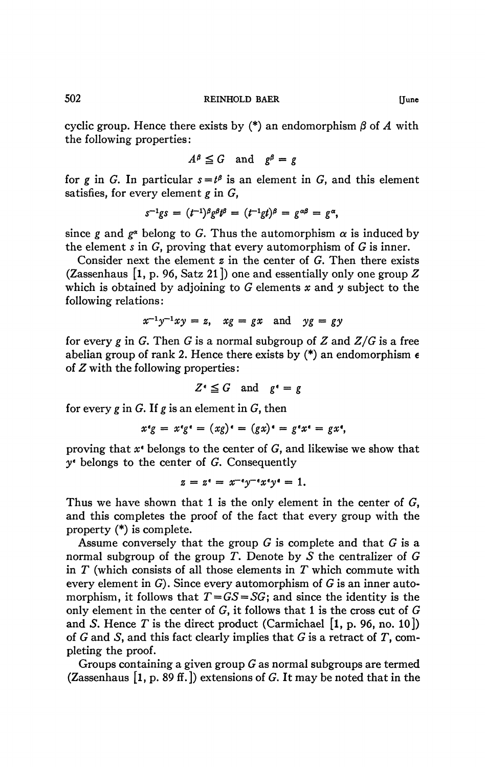cyclic group. Hence there exists by  $(*)$  an endomorphism  $\beta$  of A with the following properties :

$$
A^{\beta} \leq G \quad \text{and} \quad g^{\beta} = g
$$

for g in G. In particular  $s = t^{\beta}$  is an element in G, and this element satisfies, for every element *g* in G,

$$
s^{-1}gs = (t^{-1})^{\beta}g^{\beta}t^{\beta} = (t^{-1}gt)^{\beta} = g^{\alpha\beta} = g^{\alpha},
$$

since g and  $g^{\alpha}$  belong to G. Thus the automorphism  $\alpha$  is induced by the element  $s$  in  $G$ , proving that every automorphism of  $G$  is inner.

Consider next the element *z* in the center of G. Then there exists (Zassenhaus [l, p. 96, Satz 21]) one and essentially only one group *Z*  which is obtained by adjoining to G elements *x* and *y* subject to the following relations:

$$
x^{-1}y^{-1}xy = z, \quad xg = gx \quad \text{and} \quad yg = gy
$$

for every *g* in G. Then G is a normal subgroup of *Z* and *Z/G* is a free abelian group of rank 2. Hence there exists by  $(*)$  an endomorphism  $\epsilon$ of *Z* with the following properties:

$$
Z^{\epsilon} \leq G \quad \text{and} \quad g^{\epsilon} = g
$$

for every g in G. If g is an element in  $G$ , then

$$
x^{\epsilon}g = x^{\epsilon}g^{\epsilon} = (xg)^{\epsilon} = (gx)^{\epsilon} = g^{\epsilon}x^{\epsilon} = gx^{\epsilon},
$$

proving that  $x^*$  belongs to the center of G, and likewise we show that  $y^*$  belongs to the center of G. Consequently

$$
z = z^* = x^{-\epsilon}y^{-\epsilon}x^{\epsilon}y^* = 1.
$$

Thus we have shown that 1 is the only element in the center of  $G$ , and this completes the proof of the fact that every group with the property (\*) is complete.

Assume conversely that the group  $G$  is complete and that  $G$  is a normal subgroup of the group *T.* Denote by *S* the centralizer of G in *T* (which consists of all those elements in *T* which commute with every element in  $G$ ). Since every automorphism of  $G$  is an inner automorphism, it follows that  $T = GS = SG$ ; and since the identity is the only element in the center of  $G$ , it follows that 1 is the cross cut of  $G$ and *S*. Hence *T* is the direct product (Carmichael  $[1, p. 96, no. 10]$ ) of  $G$  and  $S$ , and this fact clearly implies that  $G$  is a retract of  $T$ , completing the proof.

Groups containing a given group  $G$  as normal subgroups are termed (Zassenhaus  $[1, p. 89$  ff.) extensions of G. It may be noted that in the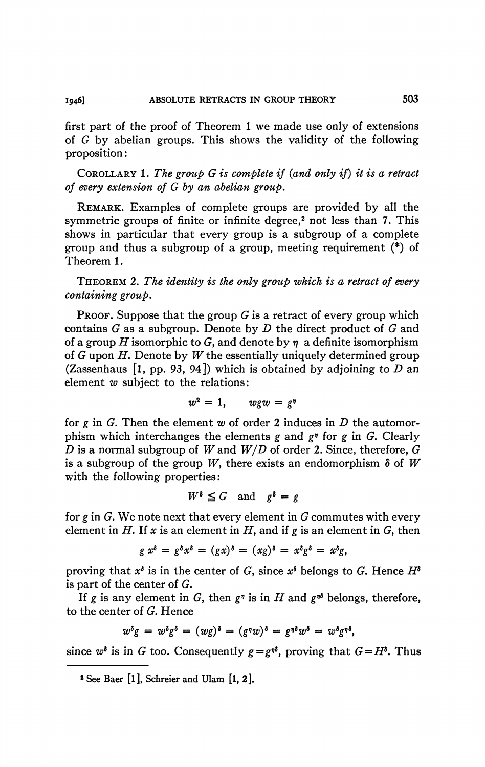first part of the proof of Theorem 1 we made use only of extensions of *G* by abelian groups. This shows the validity of the following proposition :

COROLLARY 1. *The group G is complete if (and only if) it is a retract of every extension of G by an àbelian group.* 

REMARK. Examples of complete groups are provided by all the symmetric groups of finite or infinite degree,<sup>2</sup> not less than 7. This shows in particular that every group is a subgroup of a complete group and thus a subgroup of a group, meeting requirement (\*) of Theorem 1.

THEOREM 2. *The identity is the only group which is a retract of every containing group.* 

**PROOF.** Suppose that the group  $G$  is a retract of every group which contains G as a subgroup. Denote by *D* the direct product of G and of a group *H* isomorphic to G, and denote by *t\* a definite isomorphism of G upon *H.* Denote by *W* the essentially uniquely determined group (Zassenhaus [l, pp. 93, 94]) which is obtained by adjoining to *D* an element *w* subject to the relations:

$$
w^2=1, \qquad wgw=g^{\eta}
$$

for *g* in G. Then the element *w* of order 2 induces in *D* the automorphism which interchanges the elements *g* and *g*<sup>*n*</sup> for *g* in *G*. Clearly *D* is a normal subgroup of *W* and *W/D* of order 2. Since, therefore, G is a subgroup of the group W, there exists an endomorphism  $\delta$  of W with the following properties:

$$
W^{\delta} \leq G \quad \text{and} \quad g^{\delta} = g
$$

for *g* in G. We note next that every element in G commutes with every element in H. If x is an element in H, and if  $g$  is an element in  $G$ , then

$$
g x^{\delta} = g^{\delta} x^{\delta} = (gx)^{\delta} = (xg)^{\delta} = x^{\delta} g^{\delta} = x^{\delta} g,
$$

proving that  $x^{\delta}$  is in the center of G, since  $x^{\delta}$  belongs to G. Hence  $H^{\delta}$ is part of the center of G.

If *g* is any element in *G*, then  $g$ <sup>,</sup> is in *H* and  $g$ <sup>,,,</sup> belongs, therefore, to the center of G. Hence

$$
w^{\delta}g = w^{\delta}g^{\delta} = (wg)^{\delta} = (g^{\eta}w)^{\delta} = g^{\eta\delta}w^{\delta} = w^{\delta}g^{\eta\delta},
$$

since  $w^{\delta}$  is in G too. Consequently  $g = g^{\eta \delta}$ , proving that  $G = H^{\delta}$ . Thus

**<sup>2</sup> See Baer [l], Schreier and Ulam [l, 2].**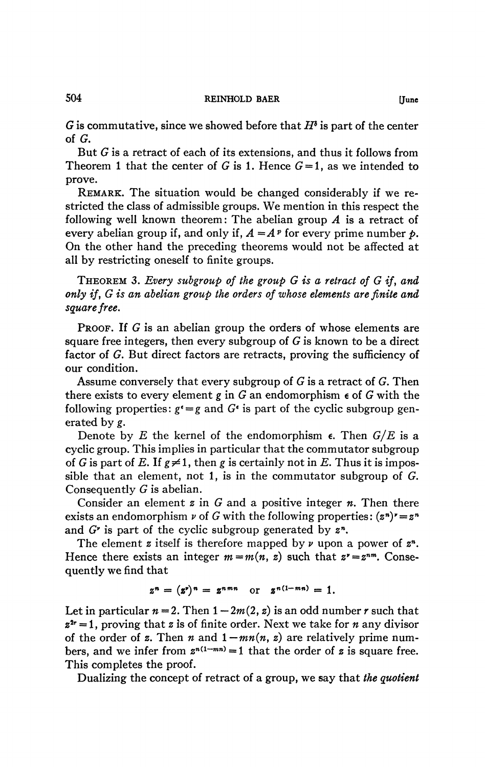## 504 **REINHOLD BAER [June**

G is commutative, since we showed before that *IP* is part of the center of *G.* 

But G is a retract of each of its extensions, and thus it follows from Theorem 1 that the center of G is 1. Hence  $G = 1$ , as we intended to prove.

REMARK. The situation would be changed considerably if we restricted the class of admissible groups. We mention in this respect the following well known theorem: The abelian group *A* is a retract of every abelian group if, and only if,  $A = A^p$  for every prime number  $p$ . On the other hand the preceding theorems would not be affected at all by restricting oneself to finite groups.

THEOREM 3. *Every subgroup of the group G is a retract of G if, and only if, G is an abelian group the orders of whose elements are finite and square free.* 

PROOF. If G is an abelian group the orders of whose elements are square free integers, then every subgroup of  $G$  is known to be a direct factor of G. But direct factors are retracts, proving the sufficiency of our condition.

Assume conversely that every subgroup of  $G$  is a retract of  $G$ . Then there exists to every element  $g$  in  $G$  an endomorphism  $\epsilon$  of  $G$  with the following properties:  $g^* = g$  and  $G^*$  is part of the cyclic subgroup generated by *g.* 

Denote by E the kernel of the endomorphism  $\epsilon$ . Then  $G/E$  is a cyclic group. This implies in particular that the commutator subgroup of G is part of E. If  $g \neq 1$ , then g is certainly not in E. Thus it is impossible that an element, not 1, is in the commutator subgroup of G. Consequently G is abelian.

Consider an element *z* in G and a positive integer *n.* Then there exists an endomorphism  $\nu$  of G with the following properties:  $(z^n)^{\nu} = z^n$ and *G*<sup>*r*</sup> is part of the cyclic subgroup generated by  $z^n$ .

The element  $z$  itself is therefore mapped by  $\nu$  upon a power of  $z<sup>n</sup>$ . Hence there exists an integer  $m = m(n, z)$  such that  $z^* = z^{nm}$ . Consequently we find that

$$
z^n = (z^r)^n = z^{nmn} \text{ or } z^{n(1-mn)} = 1.
$$

Let in particular  $n = 2$ . Then  $1 - 2m(2, z)$  is an odd number *r* such that *z 2r* = 1, proving that *z* is of finite order. Next we take for *n* any divisor of the order of z. Then *n* and  $1 - mn(n, z)$  are relatively prime numbers, and we infer from  $z^{n(1-mn)} = 1$  that the order of *z* is square free. This completes the proof.

Dualizing the concept of retract of a group, we say that *the quotient*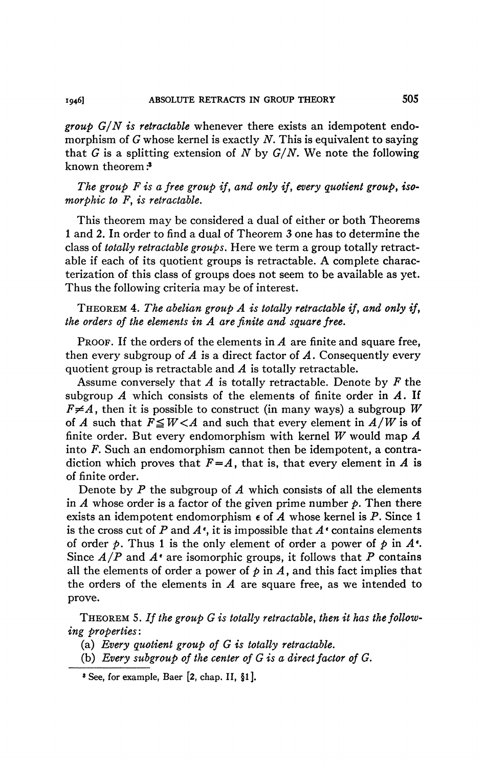*group G/N is retractable* whenever there exists an idempotent endomorphism of *G* whose kernel is exactly *N.* This is equivalent to saying that G is a splitting extension of *N* by *G/N.* We note the following known theorem :<sup>8</sup>

*The group F is a free group if, and only if, every quotient group, isomorphic to F, is retractable.* 

This theorem may be considered a dual of either or both Theorems 1 and 2. In order to find a dual of Theorem 3 one has to determine the class of *totally retractable groups.* Here we term a group totally retractable if each of its quotient groups is retractable. A complete characterization of this class of groups does not seem to be available as yet. Thus the following criteria may be of interest.

THEOREM 4. *The abelian group A is totally retractable if, and only if, the orders of the elements in A are finite and square free.* 

PROOF. If the orders of the elements in *A* are finite and square free, then every subgroup of *A* is a direct factor of *A.* Consequently every quotient group is retractable and *A* is totally retractable.

Assume conversely that *A* is totally retractable. Denote by *F* the subgroup *A* which consists of the elements of finite order in *A.* If  $F \neq A$ , then it is possible to construct (in many ways) a subgroup W of *A* such that  $F \leq W < A$  and such that every element in  $A/W$  is of finite order. But every endomorphism with kernel *W* would map *A*  into *F.* Such an endomorphism cannot then be idempotent, a contradiction which proves that  $F=A$ , that is, that every element in A is of finite order.

Denote by *P* the subgroup of *A* which consists of all the elements in  $\vec{A}$  whose order is a factor of the given prime number  $\hat{p}$ . Then there exists an idempotent endomorphism e of *A* whose kernel is *P.* Since 1 is the cross cut of  $P$  and  $A^*$ , it is impossible that  $A^*$  contains elements of order  $p$ . Thus 1 is the only element of order a power of  $p$  in  $A^*$ . Since *A/P* and *A'* are isomorphic groups, it follows that *P* contains all the elements of order a power of  $p$  in  $A$ , and this fact implies that the orders of the elements in *A* are square free, as we intended to prove.

THEOREM 5. *If the group G is totally retractable, then it has the following properties:* 

(a) *Every quotient group of G is totally retractable.* 

(b) *Every subgroup of the center of G is a direct factor of G.* 

**<sup>8</sup> See, for example, Baer [2, chap. II, §l].**